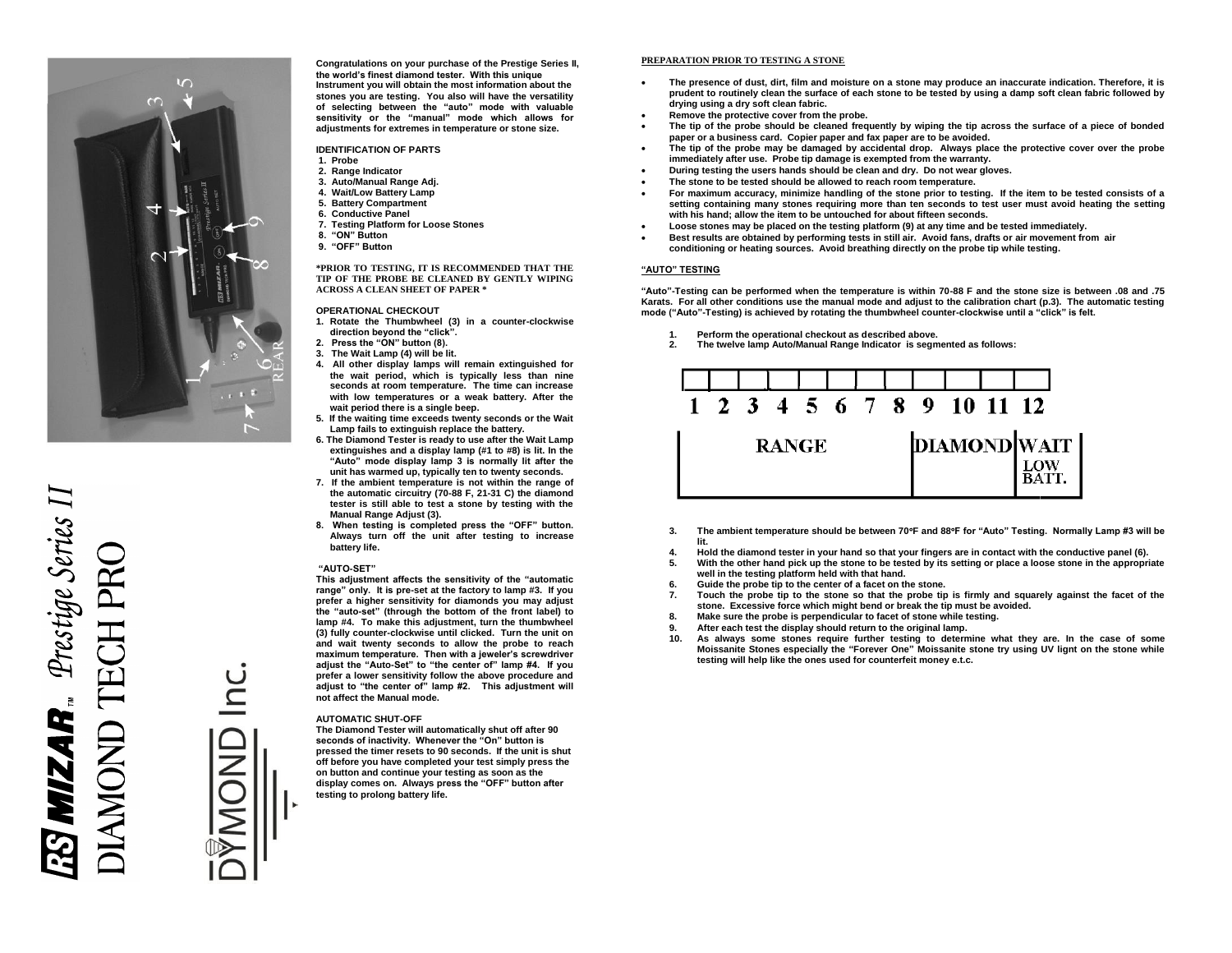

**Congratulations on your purchase of the Prestige Series II, the world's finest diamond tester. With this unique Instrument you will obtain the most information about the stones you are testing. You also will have the versatility of selecting between the "auto" mode with valuable sensitivity or the "manual" mode which allows for adjustments for extremes in temperature or stone size.**

**IDENTIFICATION OF PARTS**

- **1. Probe**
- **2. Range Indicator**
- **3. Auto/Manual Range Adj.**
- **4. Wait/Low Battery Lamp**
- **5. Battery Compartment**
- **6. Conductive Panel**
- **7. Testing Platform for Loose Stones**
- **8. "ON" Button**
- **9. "OFF" Button**

**\*PRIOR TO TESTING, IT IS RECOMMENDED THAT THE TIP OF THE PROBE BE CLEANED BY GENTLY WIPING ACROSS A CLEAN SHEET OF PAPER \***

#### **OPERATIONAL CHECKOUT**

- **1. Rotate the Thumbwheel (3) in a counter-clockwise direction beyond the "click".**
- **2. Press the "ON" button (8).**
- **3. The Wait Lamp (4) will be lit.**
- **4. All other display lamps will remain extinguished for the wait period, which is typically less than nine seconds at room temperature. The time can increase with low temperatures or a weak battery. After the wait period there is a single beep.**
- **5. If the waiting time exceeds twenty seconds or the Wait Lamp fails to extinguish replace the battery.**
- **6. The Diamond Tester is ready to use after the Wait Lamp extinguishes and a display lamp (#1 to #8) is lit. In the "Auto" mode display lamp 3 is normally lit after the unit has warmed up, typically ten to twenty seconds.**
- **7. If the ambient temperature is not within the range of the automatic circuitry (70-88 F, 21-31 C) the diamond tester is still able to test a stone by testing with the Manual Range Adjust (3).**
- **8. When testing is completed press the "OFF" button. Always turn off the unit after testing to increase battery life.**

#### **"AUTO-SET"**

**This adjustment affects the sensitivity of the "automatic range" only. It is pre-set at the factory to lamp #3. If you prefer a higher sensitivity for diamonds you may adjust the "auto-set" (through the bottom of the front label) to lamp #4. To make this adjustment, turn the thumbwheel (3) fully counter-clockwise until clicked. Turn the unit on and wait twenty seconds to allow the probe to reach maximum temperature. Then with a jeweler's screwdriver adjust the "Auto-Set" to "the center of" lamp #4. If you prefer a lower sensitivity follow the above procedure and adjust to "the center of" lamp #2. This adjustment will not affect the Manual mode.**

#### **AUTOMATIC SHUT-OFF**

**The Diamond Tester will automatically shut off after 90 seconds of inactivity. Whenever the "On" button is pressed the timer resets to 90 seconds. If the unit is shut off before you have completed your test simply press the on button and continue your testing as soon as the display comes on. Always press the "OFF" button after testing to prolong battery life.**

## **PREPARATION PRIOR TO TESTING A STONE**

- **The presence of dust, dirt, film and moisture on a stone may produce an inaccurate indication. Therefore, it is prudent to routinely clean the surface of each stone to be tested by using a damp soft clean fabric followed by drying using a dry soft clean fabric.**
- **Remove the protective cover from the probe.**
- **The tip of the probe should be cleaned frequently by wiping the tip across the surface of a piece of bonded paper or a business card. Copier paper and fax paper are to be avoided.**
- **The tip of the probe may be damaged by accidental drop. Always place the protective cover over the probe immediately after use. Probe tip damage is exempted from the warranty.**
- **During testing the users hands should be clean and dry. Do not wear gloves.**
- **The stone to be tested should be allowed to reach room temperature.**
- **For maximum accuracy, minimize handling of the stone prior to testing. If the item to be tested consists of a setting containing many stones requiring more than ten seconds to test user must avoid heating the setting with his hand; allow the item to be untouched for about fifteen seconds.**
- **Loose stones may be placed on the testing platform (9) at any time and be tested immediately. Best results are obtained by performing tests in still air. Avoid fans, drafts or air movement from air conditioning or heating sources. Avoid breathing directly on the probe tip while testing.**

## **"AUTO" TESTING**

**"Auto"-Testing can be performed when the temperature is within 70-88 F and the stone size is between .08 and .75 Karats. For all other conditions use the manual mode and adjust to the calibration chart (p.3). The automatic testing mode ("Auto"-Testing) is achieved by rotating the thumbwheel counter-clockwise until a "click" is felt.**

- **1. Perform the operational checkout as described above.**
- **2. The twelve lamp Auto/Manual Range Indicator is segmented as follows:**



- **3. The ambient temperature should be between 70F and 88F for "Auto" Testing. Normally Lamp #3 will be lit.**
- **4. Hold the diamond tester in your hand so that your fingers are in contact with the conductive panel (6).**
- **5. With the other hand pick up the stone to be tested by its setting or place a loose stone in the appropriate well in the testing platform held with that hand.**
- **6. Guide the probe tip to the center of a facet on the stone.**
- **7. Touch the probe tip to the stone so that the probe tip is firmly and squarely against the facet of the stone. Excessive force which might bend or break the tip must be avoided.**
- **8. Make sure the probe is perpendicular to facet of stone while testing.**
- **9. After each test the display should return to the original lamp.**
- **10. As always some stones require further testing to determine what they are. In the case of some Moissanite Stones especially the "Forever One" Moissanite stone try using UV lignt on the stone while testing will help like the ones used for counterfeit money e.t.c.**